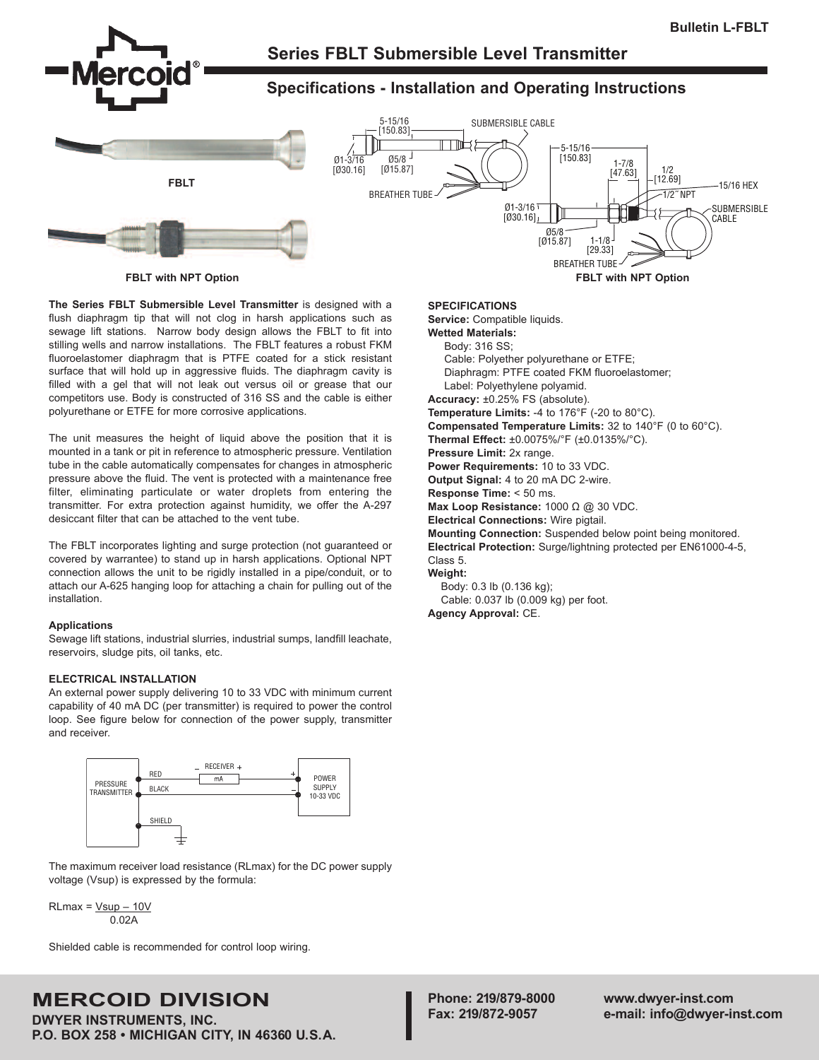

**The Series FBLT Submersible Level Transmitter** is designed with a flush diaphragm tip that will not clog in harsh applications such as sewage lift stations. Narrow body design allows the FBLT to fit into stilling wells and narrow installations. The FBLT features a robust FKM fluoroelastomer diaphragm that is PTFE coated for a stick resistant surface that will hold up in aggressive fluids. The diaphragm cavity is filled with a gel that will not leak out versus oil or grease that our competitors use. Body is constructed of 316 SS and the cable is either polyurethane or ETFE for more corrosive applications.

The unit measures the height of liquid above the position that it is mounted in a tank or pit in reference to atmospheric pressure. Ventilation tube in the cable automatically compensates for changes in atmospheric pressure above the fluid. The vent is protected with a maintenance free filter, eliminating particulate or water droplets from entering the transmitter. For extra protection against humidity, we offer the A-297 desiccant filter that can be attached to the vent tube.

The FBLT incorporates lighting and surge protection (not guaranteed or covered by warrantee) to stand up in harsh applications. Optional NPT connection allows the unit to be rigidly installed in a pipe/conduit, or to attach our A-625 hanging loop for attaching a chain for pulling out of the installation.

# **Applications**

Sewage lift stations, industrial slurries, industrial sumps, landfill leachate, reservoirs, sludge pits, oil tanks, etc.

# **ELECTRICAL INSTALLATION**

An external power supply delivering 10 to 33 VDC with minimum current capability of 40 mA DC (per transmitter) is required to power the control loop. See figure below for connection of the power supply, transmitter and receiver.



The maximum receiver load resistance (RLmax) for the DC power supply voltage (Vsup) is expressed by the formula:

 $RLmax = Vsup - 10V$ 0.02A

Shielded cable is recommended for control loop wiring.

# **MERCOID DIVISION**

**DWYER INSTRUMENTS, INC. P.O. BOX 258 • MICHIGAN CITY, IN 46360 U.S.A.**

#### **SPECIFICATIONS**

**Service:** Compatible liquids.

**Wetted Materials:**

Body: 316 SS; Cable: Polyether polyurethane or ETFE; Diaphragm: PTFE coated FKM fluoroelastomer; Label: Polyethylene polyamid.

**Accuracy:** ±0.25% FS (absolute).

**Temperature Limits:** -4 to 176°F (-20 to 80°C). **Compensated Temperature Limits:** 32 to 140°F (0 to 60°C). **Thermal Effect:** ±0.0075%/°F (±0.0135%/°C). **Pressure Limit:** 2x range. **Power Requirements:** 10 to 33 VDC. **Output Signal:** 4 to 20 mA DC 2-wire. **Response Time:** < 50 ms.

**Max Loop Resistance:** 1000 Ω @ 30 VDC.

**Electrical Connections:** Wire pigtail. **Mounting Connection:** Suspended below point being monitored.

**Electrical Protection:** Surge/lightning protected per EN61000-4-5, Class 5.

**Weight:**

Body: 0.3 lb (0.136 kg); Cable: 0.037 lb (0.009 kg) per foot.

**Agency Approval:** CE.

**Phone: 219/879-8000 www.dwyer-inst.com Fax: 219/872-9057 e-mail: info@dwyer-inst.com**